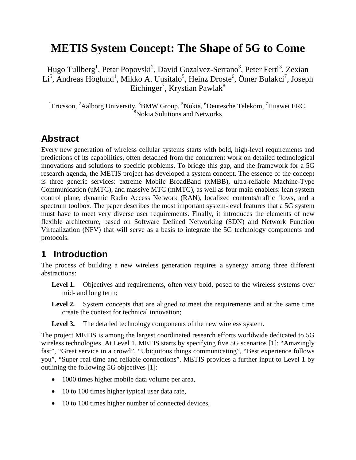# **METIS System Concept: The Shape of 5G to Come**

Hugo Tullberg<sup>1</sup>, Petar Popovski<sup>2</sup>, David Gozalvez-Serrano<sup>3</sup>, Peter Fertl<sup>3</sup>, Zexian Li<sup>5</sup>, Andreas Höglund<sup>1</sup>, Mikko A. Uusitalo<sup>5</sup>, Heinz Droste<sup>6</sup>, Ömer Bulakci<sup>7</sup>, Joseph Eichinger<sup>7</sup>, Krystian Pawlak $^8$ 

<sup>1</sup>Ericsson, <sup>2</sup>Aalborg University, <sup>3</sup>BMW Group, <sup>5</sup>Nokia, <sup>6</sup>Deutesche Telekom, <sup>7</sup>Huawei ERC,  $8\%$ Nokia Solutions and Networks

#### **Abstract**

Every new generation of wireless cellular systems starts with bold, high-level requirements and predictions of its capabilities, often detached from the concurrent work on detailed technological innovations and solutions to specific problems. To bridge this gap, and the framework for a 5G research agenda, the METIS project has developed a system concept. The essence of the concept is three generic services: extreme Mobile BroadBand (xMBB), ultra-reliable Machine-Type Communication (uMTC), and massive MTC (mMTC), as well as four main enablers: lean system control plane, dynamic Radio Access Network (RAN), localized contents/traffic flows, and a spectrum toolbox. The paper describes the most important system-level features that a 5G system must have to meet very diverse user requirements. Finally, it introduces the elements of new flexible architecture, based on Software Defined Networking (SDN) and Network Function Virtualization (NFV) that will serve as a basis to integrate the 5G technology components and protocols.

### **1 Introduction**

The process of building a new wireless generation requires a synergy among three different abstractions:

- Level 1. Objectives and requirements, often very bold, posed to the wireless systems over mid- and long term;
- Level 2. System concepts that are aligned to meet the requirements and at the same time create the context for technical innovation;
- Level 3. The detailed technology components of the new wireless system.

The project METIS is among the largest coordinated research efforts worldwide dedicated to 5G wireless technologies. At Level 1, METIS starts by specifying five 5G scenarios [\[1\]:](#page-11-0) "Amazingly fast", "Great service in a crowd", "Ubiquitous things communicating", "Best experience follows you", "Super real-time and reliable connections". METIS provides a further input to Level 1 by outlining the following 5G objectives [\[1\]:](#page-11-0)

- 1000 times higher mobile data volume per area,
- 10 to 100 times higher typical user data rate,
- 10 to 100 times higher number of connected devices,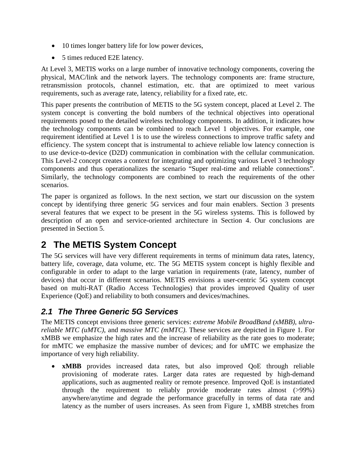- 10 times longer battery life for low power devices,
- 5 times reduced E2E latency.

At Level 3, METIS works on a large number of innovative technology components, covering the physical, MAC/link and the network layers. The technology components are: frame structure, retransmission protocols, channel estimation, etc. that are optimized to meet various requirements, such as average rate, latency, reliability for a fixed rate, etc.

This paper presents the contribution of METIS to the 5G system concept, placed at Level 2. The system concept is converting the bold numbers of the technical objectives into operational requirements posed to the detailed wireless technology components. In addition, it indicates how the technology components can be combined to reach Level 1 objectives. For example, one requirement identified at Level 1 is to use the wireless connections to improve traffic safety and efficiency. The system concept that is instrumental to achieve reliable low latency connection is to use device-to-device (D2D) communication in combination with the cellular communication. This Level-2 concept creates a context for integrating and optimizing various Level 3 technology components and thus operationalizes the scenario "Super real-time and reliable connections". Similarly, the technology components are combined to reach the requirements of the other scenarios.

The paper is organized as follows. In the next section, we start our discussion on the system concept by identifying three generic 5G services and four main enablers. Section 3 presents several features that we expect to be present in the 5G wireless systems. This is followed by description of an open and service-oriented architecture in Section 4. Our conclusions are presented in Section 5.

## **2 The METIS System Concept**

The 5G services will have very different requirements in terms of minimum data rates, latency, battery life, coverage, data volume, etc. The 5G METIS system concept is highly flexible and configurable in order to adapt to the large variation in requirements (rate, latency, number of devices) that occur in different scenarios. METIS envisions a user-centric 5G system concept based on multi-RAT (Radio Access Technologies) that provides improved Quality of user Experience (QoE) and reliability to both consumers and devices/machines.

#### *2.1 The Three Generic 5G Services*

The METIS concept envisions three generic services: *extreme Mobile BroadBand (xMBB)*, *ultrareliable MTC (uMTC)*, and *massive MTC (mMTC)*. These services are depicted in [Figure 1.](#page-2-0) For xMBB we emphasize the high rates and the increase of reliability as the rate goes to moderate; for mMTC we emphasize the massive number of devices; and for uMTC we emphasize the importance of very high reliability.

• **xMBB** provides increased data rates, but also improved QoE through reliable provisioning of moderate rates. Larger data rates are requested by high-demand applications, such as augmented reality or remote presence. Improved QoE is instantiated through the requirement to reliably provide moderate rates almost (>99%) anywhere/anytime and degrade the performance gracefully in terms of data rate and latency as the number of users increases. As seen from Figure 1, xMBB stretches from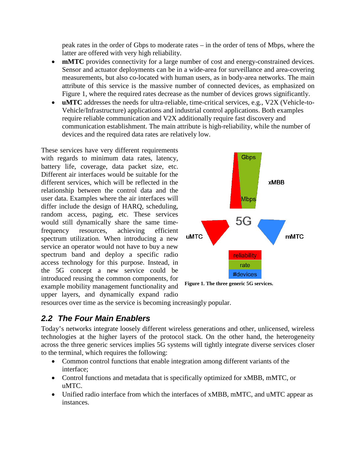peak rates in the order of Gbps to moderate rates – in the order of tens of Mbps, where the latter are offered with very high reliability.

- **mMTC** provides connectivity for a large number of cost and energy-constrained devices. Sensor and actuator deployments can be in a wide-area for surveillance and area-covering measurements, but also co-located with human users, as in body-area networks. The main attribute of this service is the massive number of connected devices, as emphasized on Figure 1, where the required rates decrease as the number of devices grows significantly.
- **uMTC** addresses the needs for ultra-reliable, time-critical services, e.g., V2X (Vehicle-to-Vehicle/Infrastructure) applications and industrial control applications. Both examples require reliable communication and V2X additionally require fast discovery and communication establishment. The main attribute is high-reliability, while the number of devices and the required data rates are relatively low.

These services have very different requirements with regards to minimum data rates, latency, battery life, coverage, data packet size, etc. Different air interfaces would be suitable for the different services, which will be reflected in the relationship between the control data and the user data. Examples where the air interfaces will differ include the design of HARQ, scheduling, random access, paging, etc. These services would still dynamically share the same timefrequency resources, achieving efficient spectrum utilization. When introducing a new service an operator would not have to buy a new spectrum band and deploy a specific radio access technology for this purpose. Instead, in the 5G concept a new service could be introduced reusing the common components, for example mobility management functionality and upper layers, and dynamically expand radio



<span id="page-2-0"></span>**Figure 1. The three generic 5G services.**

resources over time as the service is becoming increasingly popular.

#### *2.2 The Four Main Enablers*

Today's networks integrate loosely different wireless generations and other, unlicensed, wireless technologies at the higher layers of the protocol stack. On the other hand, the heterogeneity across the three generic services implies 5G systems will tightly integrate diverse services closer to the terminal, which requires the following:

- Common control functions that enable integration among different variants of the interface;
- Control functions and metadata that is specifically optimized for xMBB, mMTC, or uMTC.
- Unified radio interface from which the interfaces of xMBB, mMTC, and uMTC appear as instances.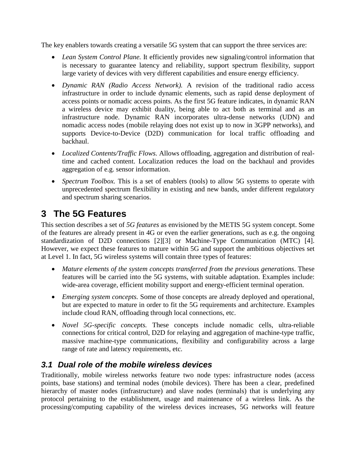The key enablers towards creating a versatile 5G system that can support the three services are:

- *Lean System Control Plane.* It efficiently provides new signaling/control information that is necessary to guarantee latency and reliability, support spectrum flexibility, support large variety of devices with very different capabilities and ensure energy efficiency.
- *Dynamic RAN (Radio Access Network).* A revision of the traditional radio access infrastructure in order to include dynamic elements, such as rapid dense deployment of access points or nomadic access points. As the first 5G feature indicates, in dynamic RAN a wireless device may exhibit duality, being able to act both as terminal and as an infrastructure node. Dynamic RAN incorporates ultra-dense networks (UDN) and nomadic access nodes (mobile relaying does not exist up to now in 3GPP networks), and supports Device-to-Device (D2D) communication for local traffic offloading and backhaul.
- *Localized Contents/Traffic Flows.* Allows offloading, aggregation and distribution of realtime and cached content. Localization reduces the load on the backhaul and provides aggregation of e.g. sensor information.
- *Spectrum Toolbox*. This is a set of enablers (tools) to allow 5G systems to operate with unprecedented spectrum flexibility in existing and new bands, under different regulatory and spectrum sharing scenarios.

# **3 The 5G Features**

This section describes a set of *5G features* as envisioned by the METIS 5G system concept. Some of the features are already present in 4G or even the earlier generations, such as e.g. the ongoing standardization of D2D connections [\[2\]\[3\]](#page-11-1) or Machine-Type Communication (MTC) [\[4\].](#page-11-2) However, we expect these features to mature within 5G and support the ambitious objectives set at Level 1. In fact, 5G wireless systems will contain three types of features:

- *Mature elements of the system concepts transferred from the previous generations*. These features will be carried into the 5G systems, with suitable adaptation. Examples include: wide-area coverage, efficient mobility support and energy-efficient terminal operation.
- *Emerging system concepts.* Some of those concepts are already deployed and operational, but are expected to mature in order to fit the 5G requirements and architecture. Examples include cloud RAN, offloading through local connections, etc.
- *Novel 5G-specific concepts.* These concepts include nomadic cells, ultra-reliable connections for critical control, D2D for relaying and aggregation of machine-type traffic, massive machine-type communications, flexibility and configurability across a large range of rate and latency requirements, etc.

#### *3.1 Dual role of the mobile wireless devices*

Traditionally, mobile wireless networks feature two node types: infrastructure nodes (access points, base stations) and terminal nodes (mobile devices). There has been a clear, predefined hierarchy of master nodes (infrastructure) and slave nodes (terminals) that is underlying any protocol pertaining to the establishment, usage and maintenance of a wireless link. As the processing/computing capability of the wireless devices increases, 5G networks will feature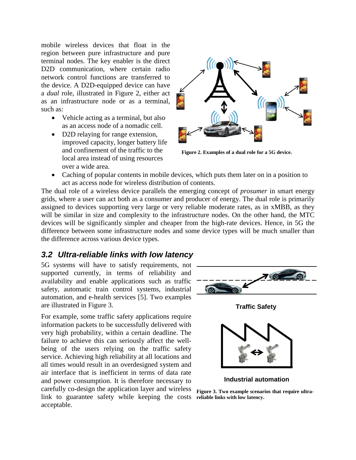mobile wireless devices that float in the region between pure infrastructure and pure terminal nodes. The key enabler is the direct D<sub>2</sub>D communication, where certain radio network control functions are transferred to the device. A D2D-equipped device can have a *dual* role, illustrated in [Figure](#page-4-0) 2, either act as an infrastructure node or as a terminal, such as:

- Vehicle acting as a terminal, but also as an access node of a nomadic cell.
- D2D relaying for range extension, improved capacity, longer battery life and confinement of the traffic to the local area instead of using resources over a wide area.

<span id="page-4-0"></span>

**Figure 2. Examples of a dual role for a 5G device.**

• Caching of popular contents in mobile devices, which puts them later on in a position to act as access node for wireless distribution of contents.

The dual role of a wireless device parallels the emerging concept of *prosumer* in smart energy grids, where a user can act both as a consumer and producer of energy. The dual role is primarily assigned to devices supporting very large or very reliable moderate rates, as in xMBB, as they will be similar in size and complexity to the infrastructure nodes. On the other hand, the MTC devices will be significantly simpler and cheaper from the high-rate devices. Hence, in 5G the difference between some infrastructure nodes and some device types will be much smaller than the difference across various device types.

#### *3.2 Ultra-reliable links with low latency*

5G systems will have to satisfy requirements, not supported currently, in terms of reliability and availability and enable applications such as traffic safety, automatic train control systems, industrial automation, and e-health services [\[5\].](#page-11-3) Two examples are illustrated in [Figure](#page-4-1) 3.

For example, some traffic safety applications require information packets to be successfully delivered with very high probability, within a certain deadline. The failure to achieve this can seriously affect the wellbeing of the users relying on the traffic safety service. Achieving high reliability at all locations and all times would result in an overdesigned system and air interface that is inefficient in terms of data rate and power consumption. It is therefore necessary to carefully co-design the application layer and wireless link to guarantee safety while keeping the costs **reliable links with low latency.**  acceptable.



**Traffic Safety**



**Industrial automation**

<span id="page-4-1"></span>**Figure 3. Two example scenarios that require ultra-**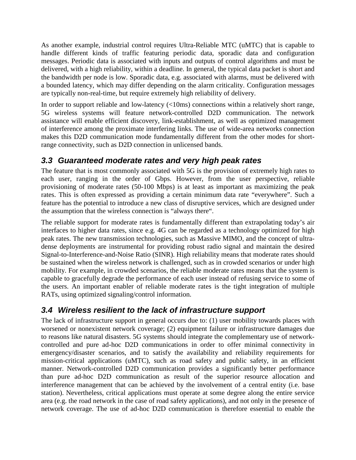As another example, industrial control requires Ultra-Reliable MTC (uMTC) that is capable to handle different kinds of traffic featuring periodic data, sporadic data and configuration messages. Periodic data is associated with inputs and outputs of control algorithms and must be delivered, with a high reliability, within a deadline. In general, the typical data packet is short and the bandwidth per node is low. Sporadic data, e.g. associated with alarms, must be delivered with a bounded latency, which may differ depending on the alarm criticality. Configuration messages are typically non-real-time, but require extremely high reliability of delivery.

In order to support reliable and low-latency (<10ms) connections within a relatively short range, 5G wireless systems will feature network-controlled D2D communication. The network assistance will enable efficient discovery, link-establishment, as well as optimized management of interference among the proximate interfering links. The use of wide-area networks connection makes this D2D communication mode fundamentally different from the other modes for shortrange connectivity, such as D2D connection in unlicensed bands.

#### *3.3 Guaranteed moderate rates and very high peak rates*

The feature that is most commonly associated with 5G is the provision of extremely high rates to each user, ranging in the order of Gbps. However, from the user perspective, reliable provisioning of moderate rates (50-100 Mbps) is at least as important as maximizing the peak rates. This is often expressed as providing a certain minimum data rate "everywhere". Such a feature has the potential to introduce a new class of disruptive services, which are designed under the assumption that the wireless connection is "always there".

The reliable support for moderate rates is fundamentally different than extrapolating today's air interfaces to higher data rates, since e.g. 4G can be regarded as a technology optimized for high peak rates. The new transmission technologies, such as Massive MIMO, and the concept of ultradense deployments are instrumental for providing robust radio signal and maintain the desired Signal-to-Interference-and-Noise Ratio (SINR). High reliability means that moderate rates should be sustained when the wireless network is challenged, such as in crowded scenarios or under high mobility. For example, in crowded scenarios, the reliable moderate rates means that the system is capable to gracefully degrade the performance of each user instead of refusing service to some of the users. An important enabler of reliable moderate rates is the tight integration of multiple RATs, using optimized signaling/control information.

#### *3.4 Wireless resilient to the lack of infrastructure support*

The lack of infrastructure support in general occurs due to: (1) user mobility towards places with worsened or nonexistent network coverage; (2) equipment failure or infrastructure damages due to reasons like natural disasters. 5G systems should integrate the complementary use of networkcontrolled and pure ad-hoc D2D communications in order to offer minimal connectivity in emergency/disaster scenarios, and to satisfy the availability and reliability requirements for mission-critical applications (uMTC), such as road safety and public safety, in an efficient manner. Network-controlled D2D communication provides a significantly better performance than pure ad-hoc D2D communication as result of the superior resource allocation and interference management that can be achieved by the involvement of a central entity (i.e. base station). Nevertheless, critical applications must operate at some degree along the entire service area (e.g. the road network in the case of road safety applications), and not only in the presence of network coverage. The use of ad-hoc D2D communication is therefore essential to enable the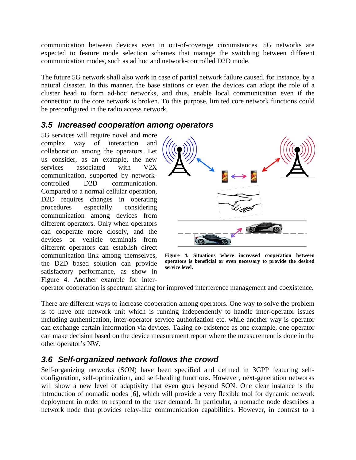communication between devices even in out-of-coverage circumstances. 5G networks are expected to feature mode selection schemes that manage the switching between different communication modes, such as ad hoc and network-controlled D2D mode.

The future 5G network shall also work in case of partial network failure caused, for instance, by a natural disaster. In this manner, the base stations or even the devices can adopt the role of a cluster head to form ad-hoc networks, and thus, enable local communication even if the connection to the core network is broken. To this purpose, limited core network functions could be preconfigured in the radio access network.

#### *3.5 Increased cooperation among operators*

5G services will require novel and more complex way of interaction and collaboration among the operators. Let us consider, as an example, the new services associated with V2X communication, supported by networkcontrolled D2D communication. Compared to a normal cellular operation, D<sub>2</sub>D requires changes in operating procedures especially considering communication among devices from different operators. Only when operators can cooperate more closely, and the devices or vehicle terminals from different operators can establish direct communication link among themselves, the D2D based solution can provide satisfactory performance, as show in [Figure](#page-6-0) 4. Another example for inter-



<span id="page-6-0"></span>**Figure 4. Situations where increased cooperation between operators is beneficial or even necessary to provide the desired service level.** 

operator cooperation is spectrum sharing for improved interference management and coexistence.

There are different ways to increase cooperation among operators. One way to solve the problem is to have one network unit which is running independently to handle inter-operator issues including authentication, inter-operator service authorization etc. while another way is operator can exchange certain information via devices. Taking co-existence as one example, one operator can make decision based on the device measurement report where the measurement is done in the other operator's NW.

#### *3.6 Self-organized network follows the crowd*

Self-organizing networks (SON) have been specified and defined in 3GPP featuring selfconfiguration, self-optimization, and self-healing functions. However, next-generation networks will show a new level of adaptivity that even goes beyond SON. One clear instance is the introduction of nomadic nodes [\[6\],](#page-11-4) which will provide a very flexible tool for dynamic network deployment in order to respond to the user demand. In particular, a nomadic node describes a network node that provides relay-like communication capabilities. However, in contrast to a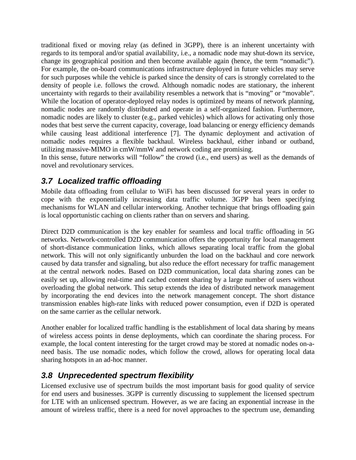traditional fixed or moving relay (as defined in 3GPP), there is an inherent uncertainty with regards to its temporal and/or spatial availability, i.e., a nomadic node may shut-down its service, change its geographical position and then become available again (hence, the term "nomadic"). For example, the on-board communications infrastructure deployed in future vehicles may serve for such purposes while the vehicle is parked since the density of cars is strongly correlated to the density of people i.e. follows the crowd. Although nomadic nodes are stationary, the inherent uncertainty with regards to their availability resembles a network that is "moving" or "movable". While the location of operator-deployed relay nodes is optimized by means of network planning, nomadic nodes are randomly distributed and operate in a self-organized fashion. Furthermore, nomadic nodes are likely to cluster (e.g., parked vehicles) which allows for activating only those nodes that best serve the current capacity, coverage, load balancing or energy efficiency demands while causing least additional interference [\[7\].](#page-11-5) The dynamic deployment and activation of nomadic nodes requires a flexible backhaul. Wireless backhaul, either inband or outband, utilizing massive-MIMO in cmW/mmW and network coding are promising.

In this sense, future networks will "follow" the crowd (i.e., end users) as well as the demands of novel and revolutionary services.

#### *3.7 Localized traffic offloading*

Mobile data offloading from cellular to WiFi has been discussed for several years in order to cope with the exponentially increasing data traffic volume. 3GPP has been specifying mechanisms for WLAN and cellular interworking. Another technique that brings offloading gain is local opportunistic caching on clients rather than on servers and sharing.

Direct D2D communication is the key enabler for seamless and local traffic offloading in 5G networks. Network-controlled D2D communication offers the opportunity for local management of short-distance communication links, which allows separating local traffic from the global network. This will not only significantly unburden the load on the backhaul and core network caused by data transfer and signaling, but also reduce the effort necessary for traffic management at the central network nodes. Based on D2D communication, local data sharing zones can be easily set up, allowing real-time and cached content sharing by a large number of users without overloading the global network. This setup extends the idea of distributed network management by incorporating the end devices into the network management concept. The short distance transmission enables high-rate links with reduced power consumption, even if D2D is operated on the same carrier as the cellular network.

Another enabler for localized traffic handling is the establishment of local data sharing by means of wireless access points in dense deployments, which can coordinate the sharing process. For example, the local content interesting for the target crowd may be stored at nomadic nodes on-aneed basis. The use nomadic nodes, which follow the crowd, allows for operating local data sharing hotspots in an ad-hoc manner.

#### *3.8 Unprecedented spectrum flexibility*

Licensed exclusive use of spectrum builds the most important basis for good quality of service for end users and businesses. 3GPP is currently discussing to supplement the licensed spectrum for LTE with an unlicensed spectrum. However, as we are facing an exponential increase in the amount of wireless traffic, there is a need for novel approaches to the spectrum use, demanding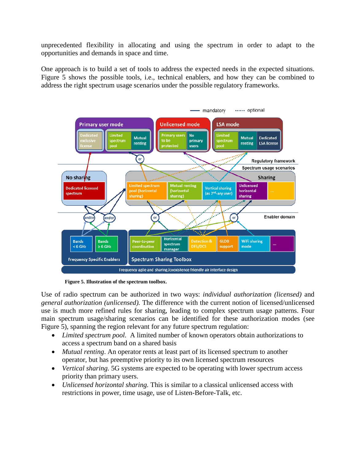unprecedented flexibility in allocating and using the spectrum in order to adapt to the opportunities and demands in space and time.

One approach is to build a set of tools to address the expected needs in the expected situations. [Figure](#page-8-0) 5 shows the possible tools, i.e., technical enablers, and how they can be combined to address the right spectrum usage scenarios under the possible regulatory frameworks.



<span id="page-8-0"></span>**Figure 5. Illustration of the spectrum toolbox.** 

Use of radio spectrum can be authorized in two ways: *individual authorization (licensed)* and *general authorization (unlicensed).* The difference with the current notion of licensed/unlicensed use is much more refined rules for sharing, leading to complex spectrum usage patterns. Four main spectrum usage/sharing scenarios can be identified for these authorization modes (see [Figure](#page-8-0) 5), spanning the region relevant for any future spectrum regulation:

- *Limited spectrum pool.* A limited number of known operators obtain authorizations to access a spectrum band on a shared basis
- *Mutual renting*. An operator rents at least part of its licensed spectrum to another operator, but has preemptive priority to its own licensed spectrum resources
- *Vertical sharing.* 5G systems are expected to be operating with lower spectrum access priority than primary users.
- *Unlicensed horizontal sharing.* This is similar to a classical unlicensed access with restrictions in power, time usage, use of Listen-Before-Talk, etc.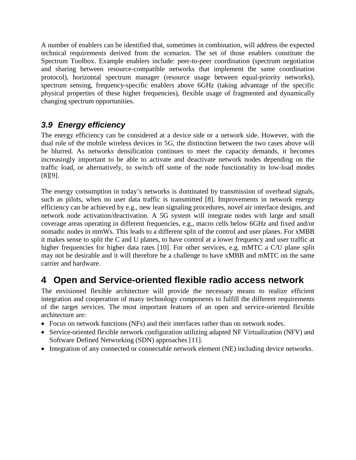A number of enablers can be identified that, sometimes in combination, will address the expected technical requirements derived from the scenarios. The set of those enablers constitute the Spectrum Toolbox. Example enablers include: peer-to-peer coordination (spectrum negotiation and sharing between resource-compatible networks that implement the same coordination protocol), horizontal spectrum manager (resource usage between equal-priority networks), spectrum sensing, frequency-specific enablers above 6GHz (taking advantage of the specific physical properties of these higher frequencies), flexible usage of fragmented and dynamically changing spectrum opportunities.

#### *3.9 Energy efficiency*

The energy efficiency can be considered at a device side or a network side. However, with the dual role of the mobile wireless devices in 5G, the distinction between the two cases above will be blurred. As networks densification continues to meet the capacity demands, it becomes increasingly important to be able to activate and deactivate network nodes depending on the traffic load, or alternatively, to switch off some of the node functionality in low-load modes [\[8\]\[9\].](#page-11-6)

The energy consumption in today's networks is dominated by transmission of overhead signals, such as pilots, when no user data traffic is transmitted [\[8\].](#page-11-6) Improvements in network energy efficiency can be achieved by e.g., new lean signaling procedures, novel air interface designs, and network node activation/deactivation. A 5G system will integrate nodes with large and small coverage areas operating in different frequencies, e.g., macro cells below 6GHz and fixed and/or nomadic nodes in mmWs. This leads to a different split of the control and user planes. For xMBB it makes sense to split the C and U planes, to have control at a lower frequency and user traffic at higher frequencies for higher data rates [\[10\].](#page-11-7) For other services, e.g. mMTC a C/U plane split may not be desirable and it will therefore be a challenge to have xMBB and mMTC on the same carrier and hardware.

### **4 Open and Service-oriented flexible radio access network**

The envisioned flexible architecture will provide the necessary means to realize efficient integration and cooperation of many technology components to fulfill the different requirements of the target services. The most important features of an open and service-oriented flexible architecture are:

- Focus on network functions (NFs) and their interfaces rather than on network nodes.
- Service-oriented flexible network configuration utilizing adapted NF Virtualization (NFV) and Software Defined Networking (SDN) approaches [\[11\].](#page-12-0)
- Integration of any connected or connectable network element (NE) including device networks.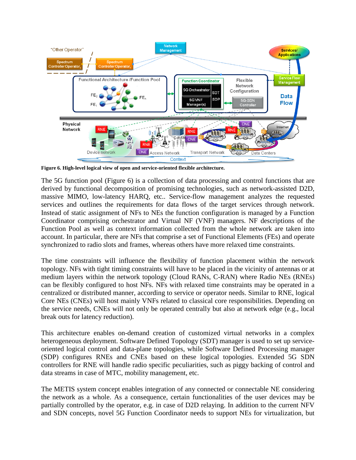

<span id="page-10-0"></span>**Figure 6. High-level logical view of open and service-oriented flexible architecture.** 

The 5G function pool [\(Figure](#page-10-0) 6) is a collection of data processing and control functions that are derived by functional decomposition of promising technologies, such as network-assisted D2D, massive MIMO, low-latency HARQ, etc.. Service-flow management analyzes the requested services and outlines the requirements for data flows of the target services through network. Instead of static assignment of NFs to NEs the function configuration is managed by a Function Coordinator comprising orchestrator and Virtual NF (VNF) managers. NF descriptions of the Function Pool as well as context information collected from the whole network are taken into account. In particular, there are NFs that comprise a set of Functional Elements (FEs) and operate synchronized to radio slots and frames, whereas others have more relaxed time constraints.

The time constraints will influence the flexibility of function placement within the network topology. NFs with tight timing constraints will have to be placed in the vicinity of antennas or at medium layers within the network topology (Cloud RANs, C-RAN) where Radio NEs (RNEs) can be flexibly configured to host NFs. NFs with relaxed time constraints may be operated in a centralized or distributed manner, according to service or operator needs. Similar to RNE, logical Core NEs (CNEs) will host mainly VNFs related to classical core responsibilities. Depending on the service needs, CNEs will not only be operated centrally but also at network edge (e.g., local break outs for latency reduction).

This architecture enables on-demand creation of customized virtual networks in a complex heterogeneous deployment. Software Defined Topology (SDT) manager is used to set up serviceoriented logical control and data-plane topologies, while Software Defined Processing manager (SDP) configures RNEs and CNEs based on these logical topologies. Extended 5G SDN controllers for RNE will handle radio specific peculiarities, such as piggy backing of control and data streams in case of MTC, mobility management, etc.

The METIS system concept enables integration of any connected or connectable NE considering the network as a whole. As a consequence, certain functionalities of the user devices may be partially controlled by the operator, e.g. in case of D2D relaying. In addition to the current NFV and SDN concepts, novel 5G Function Coordinator needs to support NEs for virtualization, but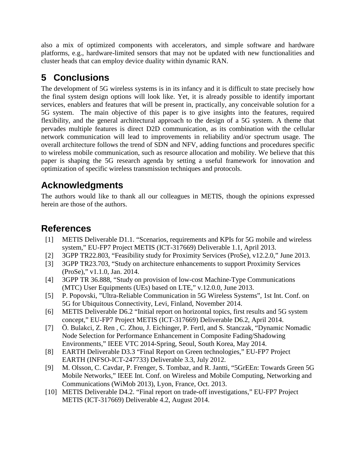also a mix of optimized components with accelerators, and simple software and hardware platforms, e.g., hardware-limited sensors that may not be updated with new functionalities and cluster heads that can employ device duality within dynamic RAN.

# **5 Conclusions**

The development of 5G wireless systems is in its infancy and it is difficult to state precisely how the final system design options will look like. Yet, it is already possible to identify important services, enablers and features that will be present in, practically, any conceivable solution for a 5G system. The main objective of this paper is to give insights into the features, required flexibility, and the general architectural approach to the design of a 5G system. A theme that pervades multiple features is direct D2D communication, as its combination with the cellular network communication will lead to improvements in reliability and/or spectrum usage. The overall architecture follows the trend of SDN and NFV, adding functions and procedures specific to wireless mobile communication, such as resource allocation and mobility. We believe that this paper is shaping the 5G research agenda by setting a useful framework for innovation and optimization of specific wireless transmission techniques and protocols.

# **Acknowledgments**

The authors would like to thank all our colleagues in METIS, though the opinions expressed herein are those of the authors.

# **References**

- <span id="page-11-0"></span>[1] METIS Deliverable D1.1. "Scenarios, requirements and KPIs for 5G mobile and wireless system," EU-FP7 Project METIS (ICT-317669) Deliverable 1.1, April 2013.
- <span id="page-11-1"></span>[2] 3GPP TR22.803, "Feasibility study for Proximity Services (ProSe), v12.2.0," June 2013.
- [3] 3GPP TR23.703, "Study on architecture enhancements to support Proximity Services (ProSe)," v1.1.0, Jan. 2014.
- <span id="page-11-2"></span>[4] 3GPP TR 36.888, "Study on provision of low-cost Machine-Type Communications (MTC) User Equipments (UEs) based on LTE," v.12.0.0, June 2013.
- <span id="page-11-3"></span>[5] P. Popovski, "Ultra-Reliable Communication in 5G Wireless Systems", 1st Int. Conf. on 5G for Ubiquitous Connectivity, Levi, Finland, November 2014.
- <span id="page-11-4"></span>[6] METIS Deliverable D6.2 "Initial report on horizontal topics, first results and 5G system concept," EU-FP7 Project METIS (ICT-317669) Deliverable D6.2, April 2014.
- <span id="page-11-5"></span>[7] Ö. Bulakci, Z. Ren , C. Zhou, J. Eichinger, P. Fertl, and S. Stanczak, "Dynamic Nomadic Node Selection for Performance Enhancement in Composite Fading/Shadowing Environments," IEEE VTC 2014-Spring, Seoul, South Korea, May 2014.
- <span id="page-11-6"></span>[8] EARTH Deliverable D3.3 "Final Report on Green technologies," EU-FP7 Project EARTH (INFSO-ICT-247733) Deliverable 3.3, July 2012.
- [9] M. Olsson, C. Cavdar, P. Frenger, S. Tombaz, and R. Jantti, "5GrEEn: Towards Green 5G Mobile Networks," IEEE Int. Conf. on Wireless and Mobile Computing, Networking and Communications (WiMob 2013), Lyon, France, Oct. 2013.
- <span id="page-11-7"></span>[10] METIS Deliverable D4.2. "Final report on trade-off investigations," EU-FP7 Project METIS (ICT-317669) Deliverable 4.2, August 2014.